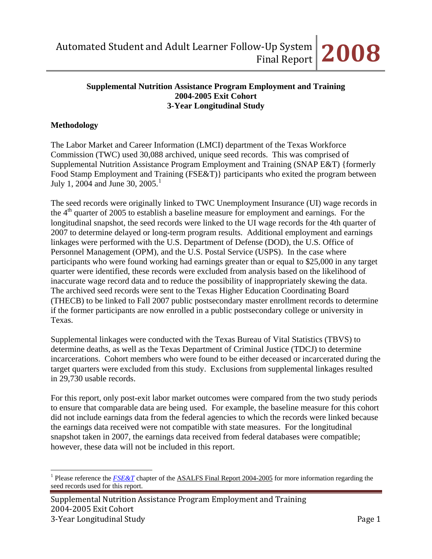#### **Supplemental Nutrition Assistance Program Employment and Training 2004-2005 Exit Cohort 3-Year Longitudinal Study**

### **Methodology**

 $\overline{a}$ 

The Labor Market and Career Information (LMCI) department of the Texas Workforce Commission (TWC) used 30,088 archived, unique seed records. This was comprised of Supplemental Nutrition Assistance Program Employment and Training (SNAP E&T) {formerly Food Stamp Employment and Training (FSE&T)} participants who exited the program between July [1](#page-0-0), 2004 and June 30, 2005.<sup>1</sup>

The seed records were originally linked to TWC Unemployment Insurance (UI) wage records in the  $4<sup>th</sup>$  quarter of 2005 to establish a baseline measure for employment and earnings. For the longitudinal snapshot, the seed records were linked to the UI wage records for the 4th quarter of 2007 to determine delayed or long-term program results. Additional employment and earnings linkages were performed with the U.S. Department of Defense (DOD), the U.S. Office of Personnel Management (OPM), and the U.S. Postal Service (USPS). In the case where participants who were found working had earnings greater than or equal to \$25,000 in any target quarter were identified, these records were excluded from analysis based on the likelihood of inaccurate wage record data and to reduce the possibility of inappropriately skewing the data. The archived seed records were sent to the Texas Higher Education Coordinating Board (THECB) to be linked to Fall 2007 public postsecondary master enrollment records to determine if the former participants are now enrolled in a public postsecondary college or university in Texas.

Supplemental linkages were conducted with the Texas Bureau of Vital Statistics (TBVS) to determine deaths, as well as the Texas Department of Criminal Justice (TDCJ) to determine incarcerations. Cohort members who were found to be either deceased or incarcerated during the target quarters were excluded from this study. Exclusions from supplemental linkages resulted in 29,730 usable records.

For this report, only post-exit labor market outcomes were compared from the two study periods to ensure that comparable data are being used. For example, the baseline measure for this cohort did not include earnings data from the federal agencies to which the records were linked because the earnings data received were not compatible with state measures. For the longitudinal snapshot taken in 2007, the earnings data received from federal databases were compatible; however, these data will not be included in this report.

<span id="page-0-0"></span><sup>&</sup>lt;sup>1</sup> Please reference the *[FSE&T](http://www.lmci.state.tx.us/researchers/Automated/Downloads/FinalReport02-03/FSET2004.pdf)* chapter of the ASALFS Final Report 2004-2005 for more information regarding the seed records used for this report.

Supplemental Nutrition Assistance Program Employment and Training 2004‐2005 Exit Cohort 3‐Year Longitudinal Study Page 1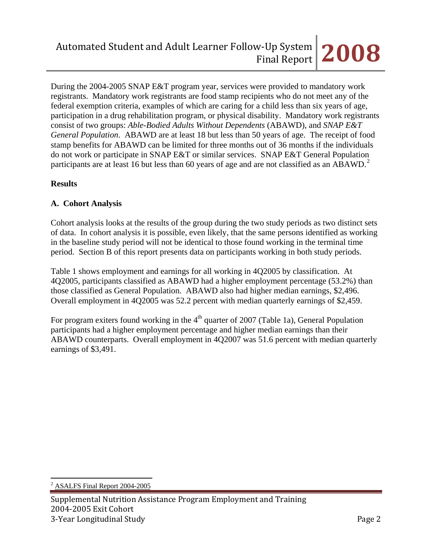During the 2004-2005 SNAP E&T program year, services were provided to mandatory work registrants. Mandatory work registrants are food stamp recipients who do not meet any of the federal exemption criteria, examples of which are caring for a child less than six years of age, participation in a drug rehabilitation program, or physical disability. Mandatory work registrants consist of two groups: *Able-Bodied Adults Without Dependents* (ABAWD), and *SNAP E&T General Population*. ABAWD are at least 18 but less than 50 years of age. The receipt of food stamp benefits for ABAWD can be limited for three months out of 36 months if the individuals do not work or participate in SNAP E&T or similar services. SNAP E&T General Population participants are at least 16 but less than 60 years of age and are not classified as an ABAWD.<sup>[2](#page-1-0)</sup>

## **Results**

# **A. Cohort Analysis**

Cohort analysis looks at the results of the group during the two study periods as two distinct sets of data. In cohort analysis it is possible, even likely, that the same persons identified as working in the baseline study period will not be identical to those found working in the terminal time period. Section B of this report presents data on participants working in both study periods.

Table 1 shows employment and earnings for all working in 4Q2005 by classification. At 4Q2005, participants classified as ABAWD had a higher employment percentage (53.2%) than those classified as General Population. ABAWD also had higher median earnings, \$2,496. Overall employment in 4Q2005 was 52.2 percent with median quarterly earnings of \$2,459.

For program exiters found working in the  $4<sup>th</sup>$  quarter of 2007 (Table 1a), General Population participants had a higher employment percentage and higher median earnings than their ABAWD counterparts. Overall employment in 4Q2007 was 51.6 percent with median quarterly earnings of \$3,491.

<span id="page-1-0"></span> $\overline{a}$ <sup>2</sup> ASALFS Final Report 2004-2005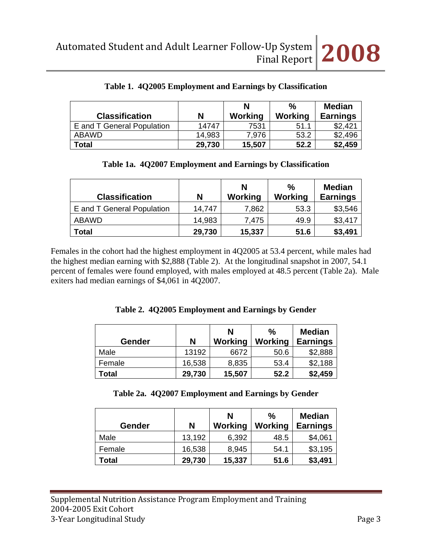| <b>Classification</b>      | N      | N<br>Working | $\%$<br>Working | <b>Median</b><br><b>Earnings</b> |
|----------------------------|--------|--------------|-----------------|----------------------------------|
| E and T General Population | 14747  | 7531         | 51.1            | \$2,421                          |
| ABAWD                      | 14,983 | 7.976        | 53.2            | \$2,496                          |
| Total                      | 29,730 | 15,507       | 52.2            | \$2,459                          |

|  |  |  | Table 1. 4Q2005 Employment and Earnings by Classification |  |  |
|--|--|--|-----------------------------------------------------------|--|--|
|--|--|--|-----------------------------------------------------------|--|--|

|  |  |  | Table 1a. 4Q2007 Employment and Earnings by Classification |  |  |
|--|--|--|------------------------------------------------------------|--|--|
|--|--|--|------------------------------------------------------------|--|--|

| <b>Classification</b>      | N      | N<br>Working | $\%$<br>Working | <b>Median</b><br><b>Earnings</b> |
|----------------------------|--------|--------------|-----------------|----------------------------------|
| E and T General Population | 14,747 | 7,862        | 53.3            | \$3,546                          |
| <b>ABAWD</b>               | 14,983 | 7.475        | 49.9            | \$3,417                          |
| <b>Total</b>               | 29,730 | 15,337       | 51.6            | \$3,491                          |

Females in the cohort had the highest employment in 4Q2005 at 53.4 percent, while males had the highest median earning with \$2,888 (Table 2). At the longitudinal snapshot in 2007, 54.1 percent of females were found employed, with males employed at 48.5 percent (Table 2a). Male exiters had median earnings of \$4,061 in 4Q2007.

|  |  |  | Table 2. 4Q2005 Employment and Earnings by Gender |  |
|--|--|--|---------------------------------------------------|--|
|--|--|--|---------------------------------------------------|--|

| Gender | N      | N<br>Working | $\frac{0}{0}$<br>Working | <b>Median</b><br><b>Earnings</b> |
|--------|--------|--------------|--------------------------|----------------------------------|
| Male   | 13192  | 6672         | 50.6                     | \$2,888                          |
| Female | 16,538 | 8,835        | 53.4                     | \$2,188                          |
| Total  | 29,730 | 15,507       | 52.2                     | \$2,459                          |

| <b>Gender</b> | N      | N<br>Working | $\frac{0}{0}$<br>Working | <b>Median</b><br><b>Earnings</b> |
|---------------|--------|--------------|--------------------------|----------------------------------|
| Male          | 13,192 | 6,392        | 48.5                     | \$4,061                          |
| Female        | 16,538 | 8,945        | 54.1                     | \$3,195                          |
| Total         | 29,730 | 15,337       | 51.6                     | \$3,491                          |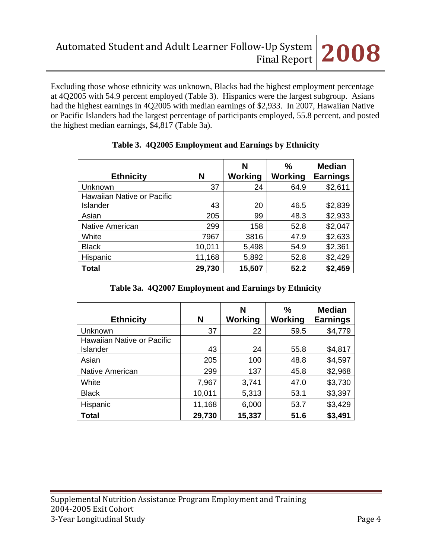Excluding those whose ethnicity was unknown, Blacks had the highest employment percentage at 4Q2005 with 54.9 percent employed (Table 3). Hispanics were the largest subgroup. Asians had the highest earnings in 4Q2005 with median earnings of \$2,933. In 2007, Hawaiian Native or Pacific Islanders had the largest percentage of participants employed, 55.8 percent, and posted the highest median earnings, \$4,817 (Table 3a).

| <b>Ethnicity</b>                       | N      | N<br>Working | %<br>Working | <b>Median</b><br><b>Earnings</b> |
|----------------------------------------|--------|--------------|--------------|----------------------------------|
| Unknown                                | 37     | 24           | 64.9         | \$2,611                          |
| Hawaiian Native or Pacific<br>Islander | 43     | 20           | 46.5         | \$2,839                          |
| Asian                                  | 205    | 99           | 48.3         | \$2,933                          |
| <b>Native American</b>                 | 299    | 158          | 52.8         | \$2,047                          |
| White                                  | 7967   | 3816         | 47.9         | \$2,633                          |
| <b>Black</b>                           | 10,011 | 5,498        | 54.9         | \$2,361                          |
| Hispanic                               | 11,168 | 5,892        | 52.8         | \$2,429                          |
| Total                                  | 29,730 | 15,507       | 52.2         | \$2,459                          |

## **Table 3. 4Q2005 Employment and Earnings by Ethnicity**

## **Table 3a. 4Q2007 Employment and Earnings by Ethnicity**

| <b>Ethnicity</b>           | N      | N<br><b>Working</b> | %<br>Working | <b>Median</b><br><b>Earnings</b> |
|----------------------------|--------|---------------------|--------------|----------------------------------|
| Unknown                    | 37     | 22                  | 59.5         | \$4,779                          |
| Hawaiian Native or Pacific |        |                     |              |                                  |
| Islander                   | 43     | 24                  | 55.8         | \$4,817                          |
| Asian                      | 205    | 100                 | 48.8         | \$4,597                          |
| <b>Native American</b>     | 299    | 137                 | 45.8         | \$2,968                          |
| White                      | 7,967  | 3,741               | 47.0         | \$3,730                          |
| <b>Black</b>               | 10,011 | 5,313               | 53.1         | \$3,397                          |
| Hispanic                   | 11,168 | 6,000               | 53.7         | \$3,429                          |
| <b>Total</b>               | 29,730 | 15,337              | 51.6         | \$3,491                          |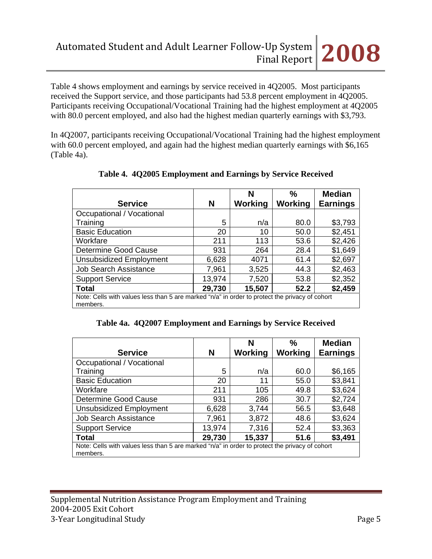Table 4 shows employment and earnings by service received in 4Q2005. Most participants received the Support service, and those participants had 53.8 percent employment in 4Q2005. Participants receiving Occupational/Vocational Training had the highest employment at 4Q2005 with 80.0 percent employed, and also had the highest median quarterly earnings with \$3,793.

In 4Q2007, participants receiving Occupational/Vocational Training had the highest employment with 60.0 percent employed, and again had the highest median quarterly earnings with \$6,165 (Table 4a).

|                                                                                                            |        | N       | ℅       | <b>Median</b>   |  |  |
|------------------------------------------------------------------------------------------------------------|--------|---------|---------|-----------------|--|--|
| <b>Service</b>                                                                                             | N      | Working | Working | <b>Earnings</b> |  |  |
| Occupational / Vocational                                                                                  |        |         |         |                 |  |  |
| Training                                                                                                   | 5      | n/a     | 80.0    | \$3,793         |  |  |
| <b>Basic Education</b>                                                                                     | 20     | 10      | 50.0    | \$2,451         |  |  |
| Workfare                                                                                                   | 211    | 113     | 53.6    | \$2,426         |  |  |
| Determine Good Cause                                                                                       | 931    | 264     | 28.4    | \$1,649         |  |  |
| <b>Unsubsidized Employment</b>                                                                             | 6,628  | 4071    | 61.4    | \$2,697         |  |  |
| <b>Job Search Assistance</b>                                                                               | 7,961  | 3,525   | 44.3    | \$2,463         |  |  |
| <b>Support Service</b>                                                                                     | 13,974 | 7,520   | 53.8    | \$2,352         |  |  |
| <b>Total</b>                                                                                               | 29,730 | 15,507  | 52.2    | \$2,459         |  |  |
| Note: Cells with values less than 5 are marked "n/a" in order to protect the privacy of cohort<br>members. |        |         |         |                 |  |  |

**Table 4. 4Q2005 Employment and Earnings by Service Received**

|  |  | Table 4a. 4Q2007 Employment and Earnings by Service Received |  |  |  |  |
|--|--|--------------------------------------------------------------|--|--|--|--|
|--|--|--------------------------------------------------------------|--|--|--|--|

|                                                                                                            |        | N       | %       | <b>Median</b>   |
|------------------------------------------------------------------------------------------------------------|--------|---------|---------|-----------------|
| <b>Service</b>                                                                                             | N      | Working | Working | <b>Earnings</b> |
| Occupational / Vocational                                                                                  |        |         |         |                 |
| Training                                                                                                   | 5      | n/a     | 60.0    | \$6,165         |
| <b>Basic Education</b>                                                                                     | 20     | 11      | 55.0    | \$3,841         |
| Workfare                                                                                                   | 211    | 105     | 49.8    | \$3,624         |
| Determine Good Cause                                                                                       | 931    | 286     | 30.7    | \$2,724         |
| <b>Unsubsidized Employment</b>                                                                             | 6,628  | 3,744   | 56.5    | \$3,648         |
| <b>Job Search Assistance</b>                                                                               | 7,961  | 3,872   | 48.6    | \$3,624         |
| <b>Support Service</b>                                                                                     | 13,974 | 7,316   | 52.4    | \$3,363         |
| <b>Total</b>                                                                                               | 29,730 | 15,337  | 51.6    | \$3,491         |
| Note: Cells with values less than 5 are marked "n/a" in order to protect the privacy of cohort<br>members. |        |         |         |                 |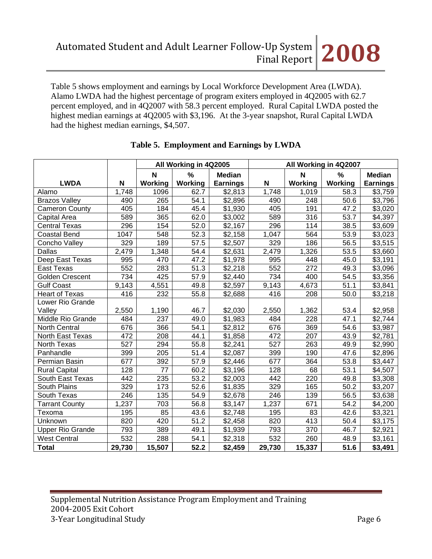Table 5 shows employment and earnings by Local Workforce Development Area (LWDA). Alamo LWDA had the highest percentage of program exiters employed in 4Q2005 with 62.7 percent employed, and in 4Q2007 with 58.3 percent employed. Rural Capital LWDA posted the highest median earnings at 4Q2005 with \$3,196. At the 3-year snapshot, Rural Capital LWDA had the highest median earnings, \$4,507.

|                         |        |                  | All Working in 4Q2005 |                     |        |                  | All Working in 4Q2007 |                     |
|-------------------------|--------|------------------|-----------------------|---------------------|--------|------------------|-----------------------|---------------------|
|                         |        | $\mathsf{N}$     | $\%$                  | <b>Median</b>       |        | $\mathbf N$      | $\%$                  | <b>Median</b>       |
| <b>LWDA</b>             | N      | Working          | Working               | <b>Earnings</b>     | N      | Working          | <b>Working</b>        | <b>Earnings</b>     |
| Alamo                   | 1,748  | 1096             | 62.7                  | \$2,813             | 1,748  | 1,019            | 58.3                  | \$3,759             |
| <b>Brazos Valley</b>    | 490    | 265              | 54.1                  | $\overline{$}2,896$ | 490    | 248              | 50.6                  | \$3,796             |
| <b>Cameron County</b>   | 405    | 184              | 45.4                  | $\overline{$}1,930$ | 405    | 191              | 47.2                  | $\sqrt{3,020}$      |
| Capital Area            | 589    | 365              | 62.0                  | \$3,002             | 589    | 316              | 53.7                  | \$4,397             |
| <b>Central Texas</b>    | 296    | 154              | 52.0                  | \$2,167             | 296    | 114              | 38.5                  | \$3,609             |
| <b>Coastal Bend</b>     | 1047   | 548              | 52.3                  | \$2,158             | 1,047  | 564              | 53.9                  | \$3,023             |
| Concho Valley           | 329    | 189              | 57.5                  | \$2,507             | 329    | 186              | 56.5                  | \$3,515             |
| Dallas                  | 2,479  | 1,348            | 54.4                  | \$2,631             | 2,479  | 1,326            | 53.5                  | \$3,660             |
| Deep East Texas         | 995    | 470              | 47.2                  | \$1,978             | 995    | 448              | 45.0                  | $\overline{$3,191}$ |
| East Texas              | 552    | 283              | $\overline{51.3}$     | \$2,218             | 552    | $\overline{272}$ | 49.3                  | \$3,096             |
| Golden Crescent         | 734    | 425              | $\overline{57.9}$     | \$2,440             | 734    | 400              | 54.5                  | \$3,356             |
| <b>Gulf Coast</b>       | 9,143  | 4,551            | 49.8                  | \$2,597             | 9,143  | 4,673            | 51.1                  | \$3,841             |
| <b>Heart of Texas</b>   | 416    | 232              | 55.8                  | \$2,688             | 416    | 208              | 50.0                  | \$3,218             |
| Lower Rio Grande        |        |                  |                       |                     |        |                  |                       |                     |
| Valley                  | 2,550  | 1,190            | 46.7                  | \$2,030             | 2,550  | 1,362            | 53.4                  | \$2,958             |
| Middle Rio Grande       | 484    | $\overline{237}$ | 49.0                  | $\overline{$}1,983$ | 484    | 228              | 47.1                  | $\overline{$}2,744$ |
| <b>North Central</b>    | 676    | 366              | 54.1                  | \$2,812             | 676    | 369              | 54.6                  | \$3,987             |
| North East Texas        | 472    | 208              | 44.1                  | \$1,858             | 472    | 207              | 43.9                  | \$2,781             |
| <b>North Texas</b>      | 527    | 294              | 55.8                  | \$2,241             | 527    | 263              | 49.9                  | \$2,990             |
| Panhandle               | 399    | 205              | 51.4                  | \$2,087             | 399    | 190              | 47.6                  | \$2,896             |
| Permian Basin           | 677    | 392              | $\frac{1}{57.9}$      | \$2,446             | 677    | 364              | 53.8                  | \$3,447             |
| <b>Rural Capital</b>    | 128    | 77               | 60.2                  | \$3,196             | 128    | 68               | 53.1                  | \$4,507             |
| South East Texas        | 442    | 235              | 53.2                  | \$2,003             | 442    | 220              | 49.8                  | \$3,308             |
| South Plains            | 329    | 173              | 52.6                  | \$1,835             | 329    | 165              | 50.2                  | \$3,207             |
| South Texas             | 246    | 135              | 54.9                  | \$2,678             | 246    | 139              | 56.5                  | \$3,638             |
| <b>Tarrant County</b>   | 1,237  | 703              | 56.8                  | \$3,147             | 1,237  | 671              | 54.2                  | \$4,200             |
| Texoma                  | 195    | 85               | 43.6                  | \$2,748             | 195    | 83               | 42.6                  | \$3,321             |
| Unknown                 | 820    | 420              | $\overline{51.2}$     | \$2,458             | 820    | 413              | 50.4                  | \$3,175             |
| <b>Upper Rio Grande</b> | 793    | 389              | 49.1                  | \$1,939             | 793    | 370              | 46.7                  | \$2,921             |
| <b>West Central</b>     | 532    | 288              | 54.1                  | \$2,318             | 532    | 260              | 48.9                  | \$3,161             |
| <b>Total</b>            | 29,730 | 15,507           | 52.2                  | \$2,459             | 29,730 | 15,337           | 51.6                  | \$3,491             |

# **Table 5. Employment and Earnings by LWDA**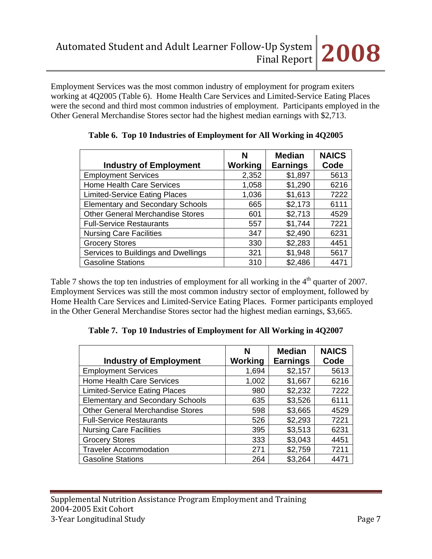Employment Services was the most common industry of employment for program exiters working at 4Q2005 (Table 6). Home Health Care Services and Limited-Service Eating Places were the second and third most common industries of employment. Participants employed in the Other General Merchandise Stores sector had the highest median earnings with \$2,713.

|                                         | N              | <b>Median</b>   | <b>NAICS</b> |
|-----------------------------------------|----------------|-----------------|--------------|
| <b>Industry of Employment</b>           | <b>Working</b> | <b>Earnings</b> | Code         |
| <b>Employment Services</b>              | 2,352          | \$1,897         | 5613         |
| <b>Home Health Care Services</b>        | 1,058          | \$1,290         | 6216         |
| <b>Limited-Service Eating Places</b>    | 1,036          | \$1,613         | 7222         |
| <b>Elementary and Secondary Schools</b> | 665            | \$2,173         | 6111         |
| <b>Other General Merchandise Stores</b> | 601            | \$2,713         | 4529         |
| <b>Full-Service Restaurants</b>         | 557            | \$1,744         | 7221         |
| <b>Nursing Care Facilities</b>          | 347            | \$2,490         | 6231         |
| <b>Grocery Stores</b>                   | 330            | \$2,283         | 4451         |
| Services to Buildings and Dwellings     | 321            | \$1,948         | 5617         |
| <b>Gasoline Stations</b>                | 310            | \$2,486         | 4471         |

|  |  |  | Table 6. Top 10 Industries of Employment for All Working in 4Q2005 |  |  |  |
|--|--|--|--------------------------------------------------------------------|--|--|--|
|--|--|--|--------------------------------------------------------------------|--|--|--|

Table 7 shows the top ten industries of employment for all working in the 4<sup>th</sup> quarter of 2007. Employment Services was still the most common industry sector of employment, followed by Home Health Care Services and Limited-Service Eating Places. Former participants employed in the Other General Merchandise Stores sector had the highest median earnings, \$3,665.

|  |  | Table 7. Top 10 Industries of Employment for All Working in 4Q2007 |  |
|--|--|--------------------------------------------------------------------|--|
|  |  |                                                                    |  |

| <b>Industry of Employment</b>           | N<br>Working | <b>Median</b><br><b>Earnings</b> | <b>NAICS</b><br>Code |
|-----------------------------------------|--------------|----------------------------------|----------------------|
| <b>Employment Services</b>              | 1,694        | \$2,157                          | 5613                 |
| Home Health Care Services               | 1,002        | \$1,667                          | 6216                 |
| <b>Limited-Service Eating Places</b>    | 980          | \$2,232                          | 7222                 |
| <b>Elementary and Secondary Schools</b> | 635          | \$3,526                          | 6111                 |
| <b>Other General Merchandise Stores</b> | 598          | \$3,665                          | 4529                 |
| <b>Full-Service Restaurants</b>         | 526          | \$2,293                          | 7221                 |
| <b>Nursing Care Facilities</b>          | 395          | \$3,513                          | 6231                 |
| <b>Grocery Stores</b>                   | 333          | \$3,043                          | 4451                 |
| <b>Traveler Accommodation</b>           | 271          | \$2,759                          | 7211                 |
| <b>Gasoline Stations</b>                | 264          | \$3,264                          | 4471                 |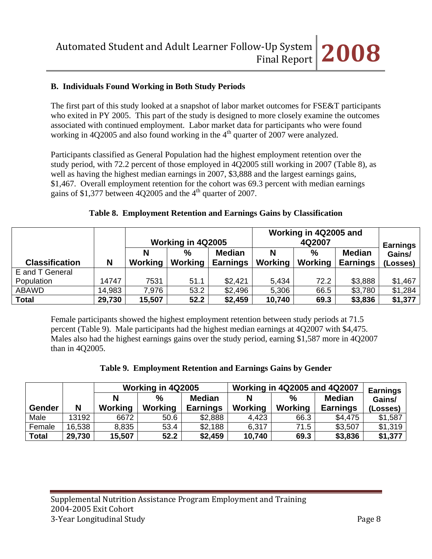## **B. Individuals Found Working in Both Study Periods**

The first part of this study looked at a snapshot of labor market outcomes for FSE&T participants who exited in PY 2005. This part of the study is designed to more closely examine the outcomes associated with continued employment. Labor market data for participants who were found working in 4Q2005 and also found working in the  $4<sup>th</sup>$  quarter of 2007 were analyzed.

Participants classified as General Population had the highest employment retention over the study period, with 72.2 percent of those employed in 4Q2005 still working in 2007 (Table 8), as well as having the highest median earnings in 2007, \$3,888 and the largest earnings gains, \$1,467. Overall employment retention for the cohort was 69.3 percent with median earnings gains of \$1,377 between 4Q2005 and the  $4<sup>th</sup>$  quarter of 2007.

|                       |        | Working in 4Q2005   |                          |                                  | Working in 4Q2005 and | <b>Earnings</b>        |                                  |                    |
|-----------------------|--------|---------------------|--------------------------|----------------------------------|-----------------------|------------------------|----------------------------------|--------------------|
| <b>Classification</b> | N      | N<br><b>Working</b> | $\frac{0}{0}$<br>Working | <b>Median</b><br><b>Earnings</b> | N<br><b>Working</b>   | $\%$<br><b>Working</b> | <b>Median</b><br><b>Earnings</b> | Gains/<br>(Losses) |
| E and T General       |        |                     |                          |                                  |                       |                        |                                  |                    |
| Population            | 14747  | 7531                | 51.1                     | \$2,421                          | 5,434                 | 72.2                   | \$3,888                          | \$1,467            |
| ABAWD                 | 14,983 | 7,976               | 53.2                     | \$2,496                          | 5,306                 | 66.5                   | \$3,780                          | \$1,284            |
| <b>Total</b>          | 29,730 | 15,507              | 52.2                     | \$2,459                          | 10,740                | 69.3                   | \$3,836                          | \$1,377            |

### **Table 8. Employment Retention and Earnings Gains by Classification**

Female participants showed the highest employment retention between study periods at 71.5 percent (Table 9). Male participants had the highest median earnings at 4Q2007 with \$4,475. Males also had the highest earnings gains over the study period, earning \$1,587 more in 4Q2007 than in 4Q2005.

|  |  | Table 9. Employment Retention and Earnings Gains by Gender |  |  |  |
|--|--|------------------------------------------------------------|--|--|--|
|--|--|------------------------------------------------------------|--|--|--|

|               |        |         | Working in 4Q2005 |                 |         | <b>Working in 4Q2005 and 4Q2007</b> | <b>Earnings</b> |          |
|---------------|--------|---------|-------------------|-----------------|---------|-------------------------------------|-----------------|----------|
|               |        |         | $\frac{0}{0}$     | <b>Median</b>   | N       | $\frac{6}{2}$                       | <b>Median</b>   | Gains/   |
| <b>Gender</b> | N      | Working | Working           | <b>Earnings</b> | Working | Working                             | <b>Earnings</b> | (Losses) |
| Male          | 13192  | 6672    | 50.6              | \$2,888         | 4,423   | 66.3                                | \$4,475         | \$1,587  |
| Female        | 16,538 | 8,835   | 53.4              | \$2,188         | 6,317   | 71.5                                | \$3,507         | \$1,319  |
| <b>Total</b>  | 29,730 | 15,507  | 52.2              | \$2,459         | 10,740  | 69.3                                | \$3,836         | \$1,377  |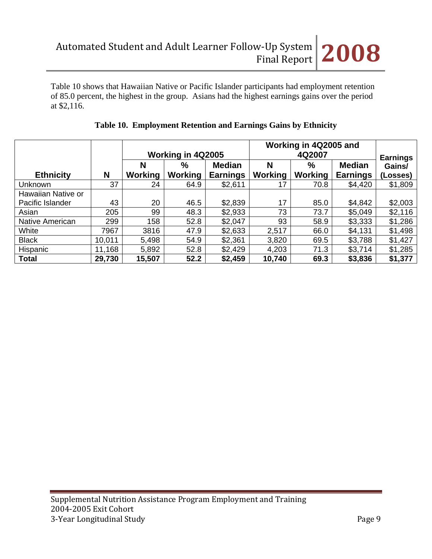Table 10 shows that Hawaiian Native or Pacific Islander participants had employment retention of 85.0 percent, the highest in the group. Asians had the highest earnings gains over the period at \$2,116.

|                    |        |                |                   |                 |         | Working in 4Q2005 and |                 |                           |  |  |
|--------------------|--------|----------------|-------------------|-----------------|---------|-----------------------|-----------------|---------------------------|--|--|
|                    |        |                | Working in 4Q2005 |                 |         | 4Q2007                |                 |                           |  |  |
|                    |        | N              | $\%$              | <b>Median</b>   | N       | $\%$                  | <b>Median</b>   | <b>Earnings</b><br>Gains/ |  |  |
| <b>Ethnicity</b>   | N      | <b>Working</b> | <b>Working</b>    | <b>Earnings</b> | Working | <b>Working</b>        | <b>Earnings</b> | (Losses)                  |  |  |
| <b>Unknown</b>     | 37     | 24             | 64.9              | \$2,611         | 17      | 70.8                  | \$4,420         | \$1,809                   |  |  |
| Hawaiian Native or |        |                |                   |                 |         |                       |                 |                           |  |  |
| Pacific Islander   | 43     | 20             | 46.5              | \$2,839         | 17      | 85.0                  | \$4,842         | \$2,003                   |  |  |
| Asian              | 205    | 99             | 48.3              | \$2,933         | 73      | 73.7                  | \$5,049         | \$2,116                   |  |  |
| Native American    | 299    | 158            | 52.8              | \$2,047         | 93      | 58.9                  | \$3,333         | \$1,286                   |  |  |
| White              | 7967   | 3816           | 47.9              | \$2,633         | 2,517   | 66.0                  | \$4,131         | \$1,498                   |  |  |
| <b>Black</b>       | 10.011 | 5,498          | 54.9              | \$2,361         | 3,820   | 69.5                  | \$3,788         | \$1,427                   |  |  |
| Hispanic           | 11,168 | 5,892          | 52.8              | \$2,429         | 4,203   | 71.3                  | \$3,714         | \$1,285                   |  |  |
| <b>Total</b>       | 29,730 | 15,507         | 52.2              | \$2,459         | 10,740  | 69.3                  | \$3,836         | \$1,377                   |  |  |

# **Table 10. Employment Retention and Earnings Gains by Ethnicity**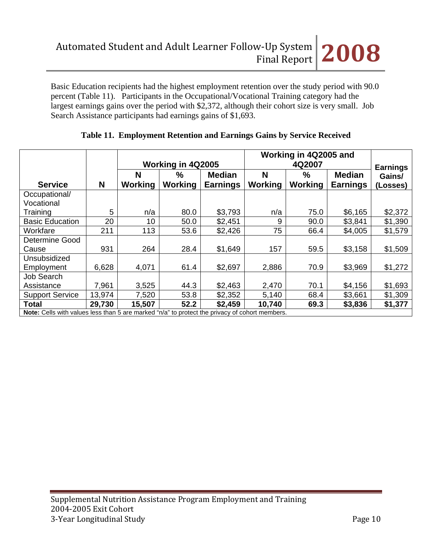Basic Education recipients had the highest employment retention over the study period with 90.0 percent (Table 11). Participants in the Occupational/Vocational Training category had the largest earnings gains over the period with \$2,372, although their cohort size is very small. Job Search Assistance participants had earnings gains of \$1,693.

|                                                                                                       |        | Working in 4Q2005 |         |                 |                | Working in 4Q2005 and | <b>Earnings</b> |          |
|-------------------------------------------------------------------------------------------------------|--------|-------------------|---------|-----------------|----------------|-----------------------|-----------------|----------|
|                                                                                                       |        | N                 | $\%$    | <b>Median</b>   | N              | $\%$                  | <b>Median</b>   | Gains/   |
| <b>Service</b>                                                                                        | N      | Working           | Working | <b>Earnings</b> | <b>Working</b> | <b>Working</b>        | <b>Earnings</b> | (Losses) |
| Occupational/                                                                                         |        |                   |         |                 |                |                       |                 |          |
| Vocational                                                                                            |        |                   |         |                 |                |                       |                 |          |
| Training                                                                                              | 5      | n/a               | 80.0    | \$3,793         | n/a            | 75.0                  | \$6,165         | \$2,372  |
| <b>Basic Education</b>                                                                                | 20     | 10                | 50.0    | \$2,451         | 9              | 90.0                  | \$3,841         | \$1,390  |
| Workfare                                                                                              | 211    | 113               | 53.6    | \$2,426         | 75             | 66.4                  | \$4,005         | \$1,579  |
| Determine Good                                                                                        |        |                   |         |                 |                |                       |                 |          |
| Cause                                                                                                 | 931    | 264               | 28.4    | \$1,649         | 157            | 59.5                  | \$3,158         | \$1,509  |
| Unsubsidized                                                                                          |        |                   |         |                 |                |                       |                 |          |
| Employment                                                                                            | 6,628  | 4,071             | 61.4    | \$2,697         | 2,886          | 70.9                  | \$3,969         | \$1,272  |
| Job Search                                                                                            |        |                   |         |                 |                |                       |                 |          |
| Assistance                                                                                            | 7,961  | 3,525             | 44.3    | \$2,463         | 2,470          | 70.1                  | \$4,156         | \$1,693  |
| <b>Support Service</b>                                                                                | 13,974 | 7,520             | 53.8    | \$2,352         | 5,140          | 68.4                  | \$3,661         | \$1,309  |
| Total                                                                                                 | 29,730 | 15,507            | 52.2    | \$2,459         | 10,740         | 69.3                  | \$3,836         | \$1,377  |
| <b>Note:</b> Cells with values less than 5 are marked "n/a" to protect the privacy of cohort members. |        |                   |         |                 |                |                       |                 |          |

# **Table 11. Employment Retention and Earnings Gains by Service Received**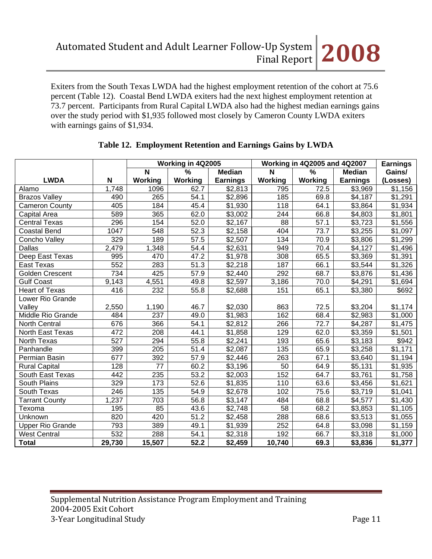Exiters from the South Texas LWDA had the highest employment retention of the cohort at 75.6 percent (Table 12). Coastal Bend LWDA exiters had the next highest employment retention at 73.7 percent. Participants from Rural Capital LWDA also had the highest median earnings gains over the study period with \$1,935 followed most closely by Cameron County LWDA exiters with earnings gains of \$1,934.

|                         |                  |                  | Working in 4Q2005 |                     |                 | <b>Working in 4Q2005 and 4Q2007</b> |                     | <b>Earnings</b>      |
|-------------------------|------------------|------------------|-------------------|---------------------|-----------------|-------------------------------------|---------------------|----------------------|
|                         |                  | N                | $\%$              | <b>Median</b>       | N               | %                                   | <b>Median</b>       | Gains/               |
| <b>LWDA</b>             | $\mathbf N$      | <b>Working</b>   | <b>Working</b>    | <b>Earnings</b>     | Working         | <b>Working</b>                      | <b>Earnings</b>     | (Losses)             |
| Alamo                   | 1,748            | 1096             | 62.7              | \$2,813             | 795             | 72.5                                | \$3,969             | $\overline{$}1,156$  |
| <b>Brazos Valley</b>    | 490              | 265              | 54.1              | \$2,896             | 185             | 69.8                                | \$4,187             | $\overline{$}1,291$  |
| <b>Cameron County</b>   | 405              | 184              | 45.4              | \$1,930             | 118             | 64.1                                | $\overline{$}3,864$ | $\overline{\$1,934}$ |
| Capital Area            | 589              | 365              | 62.0              | \$3,002             | 244             | 66.8                                | \$4,803             | \$1,801              |
| <b>Central Texas</b>    | 296              | 154              | 52.0              | $\sqrt{$2,167}$     | $\overline{88}$ | 57.1                                | $\overline{$}3,723$ | \$1,556              |
| <b>Coastal Bend</b>     | 1047             | 548              | 52.3              | $\sqrt{$2,158}$     | 404             | 73.7                                | \$3,255             | $\overline{$}1,097$  |
| Concho Valley           | 329              | 189              | 57.5              | \$2,507             | 134             | 70.9                                | \$3,806             | \$1,299              |
| <b>Dallas</b>           | 2,479            | 1,348            | 54.4              | \$2,631             | 949             | 70.4                                | \$4,127             | \$1,496              |
| Deep East Texas         | 995              | 470              | 47.2              | \$1,978             | 308             | 65.5                                | \$3,369             | \$1,391              |
| East Texas              | 552              | 283              | 51.3              | \$2,218             | 187             | 66.1                                | \$3,544             | \$1,326              |
| <b>Golden Crescent</b>  | 734              | 425              | 57.9              | $\overline{$}2,440$ | 292             | 68.7                                | \$3,876             | \$1,436              |
| <b>Gulf Coast</b>       | 9,143            | 4,551            | 49.8              | \$2,597             | 3,186           | 70.0                                | \$4,291             | \$1,694              |
| <b>Heart of Texas</b>   | 416              | 232              | 55.8              | \$2,688             | 151             | 65.1                                | \$3,380             | \$692                |
| Lower Rio Grande        |                  |                  |                   |                     |                 |                                     |                     |                      |
| Valley                  | 2,550            | 1,190            | 46.7              | \$2,030             | 863             | 72.5                                | \$3,204             | \$1,174              |
| Middle Rio Grande       | 484              | $\overline{237}$ | 49.0              | \$1,983             | 162             | 68.4                                | \$2,983             | \$1,000              |
| North Central           | 676              | 366              | $\overline{54.1}$ | $\overline{$}2,812$ | 266             | 72.7                                | $\overline{$}4,287$ | \$1,475              |
| North East Texas        | 472              | 208              | 44.1              | $\overline{$}1,858$ | 129             | 62.0                                | \$3,359             | \$1,501              |
| North Texas             | $\overline{527}$ | 294              | 55.8              | \$2,241             | 193             | 65.6                                | \$3,183             | \$942                |
| Panhandle               | 399              | 205              | 51.4              | \$2,087             | 135             | 65.9                                | \$3,258             | \$1,171              |
| Permian Basin           | 677              | 392              | 57.9              | \$2,446             | 263             | 67.1                                | \$3,640             | \$1,194              |
| <b>Rural Capital</b>    | 128              | 77               | 60.2              | \$3,196             | 50              | 64.9                                | \$5,131             | \$1,935              |
| South East Texas        | 442              | 235              | 53.2              | $\sqrt{$2,003}$     | 152             | 64.7                                | \$3,761             | \$1,758              |
| South Plains            | 329              | $\overline{173}$ | 52.6              | \$1,835             | 110             | 63.6                                | \$3,456             | \$1,621              |
| South Texas             | $\overline{246}$ | 135              | 54.9              | \$2,678             | 102             | 75.6                                | \$3,719             | \$1,041              |
| <b>Tarrant County</b>   | 1,237            | 703              | 56.8              | \$3,147             | 484             | 68.8                                | \$4,577             | \$1,430              |
| Texoma                  | 195              | 85               | 43.6              | \$2,748             | 58              | 68.2                                | \$3,853             | \$1,105              |
| Unknown                 | 820              | 420              | 51.2              | \$2,458             | 288             | 68.6                                | \$3,513             | \$1,055              |
| <b>Upper Rio Grande</b> | 793              | 389              | 49.1              | $\overline{$}1,939$ | 252             | 64.8                                | $\overline{$3,098}$ | \$1,159              |
| <b>West Central</b>     | 532              | 288              | 54.1              | \$2,318             | 192             | 66.7                                | \$3,318             | \$1,000              |
| <b>Total</b>            | 29,730           | 15,507           | $\overline{52.2}$ | \$2,459             | 10,740          | 69.3                                | \$3,836             | \$1,377              |

## **Table 12. Employment Retention and Earnings Gains by LWDA**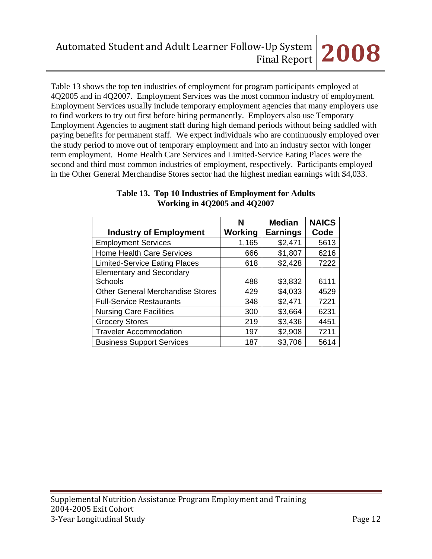Table 13 shows the top ten industries of employment for program participants employed at 4Q2005 and in 4Q2007. Employment Services was the most common industry of employment. Employment Services usually include temporary employment agencies that many employers use to find workers to try out first before hiring permanently. Employers also use Temporary Employment Agencies to augment staff during high demand periods without being saddled with paying benefits for permanent staff. We expect individuals who are continuously employed over the study period to move out of temporary employment and into an industry sector with longer term employment. Home Health Care Services and Limited-Service Eating Places were the second and third most common industries of employment, respectively. Participants employed in the Other General Merchandise Stores sector had the highest median earnings with \$4,033.

| <b>Industry of Employment</b>           | N<br><b>Working</b> | <b>Median</b><br><b>Earnings</b> | <b>NAICS</b><br>Code |
|-----------------------------------------|---------------------|----------------------------------|----------------------|
| <b>Employment Services</b>              | 1,165               | \$2,471                          | 5613                 |
| <b>Home Health Care Services</b>        | 666                 | \$1,807                          | 6216                 |
| <b>Limited-Service Eating Places</b>    | 618                 | \$2,428                          | 7222                 |
| <b>Elementary and Secondary</b>         |                     |                                  |                      |
| <b>Schools</b>                          | 488                 | \$3,832                          | 6111                 |
| <b>Other General Merchandise Stores</b> | 429                 | \$4,033                          | 4529                 |
| <b>Full-Service Restaurants</b>         | 348                 | \$2,471                          | 7221                 |
| <b>Nursing Care Facilities</b>          | 300                 | \$3,664                          | 6231                 |
| <b>Grocery Stores</b>                   | 219                 | \$3,436                          | 4451                 |
| <b>Traveler Accommodation</b>           | 197                 | \$2,908                          | 7211                 |
| <b>Business Support Services</b>        | 187                 | \$3,706                          | 5614                 |

### **Table 13. Top 10 Industries of Employment for Adults Working in 4Q2005 and 4Q2007**